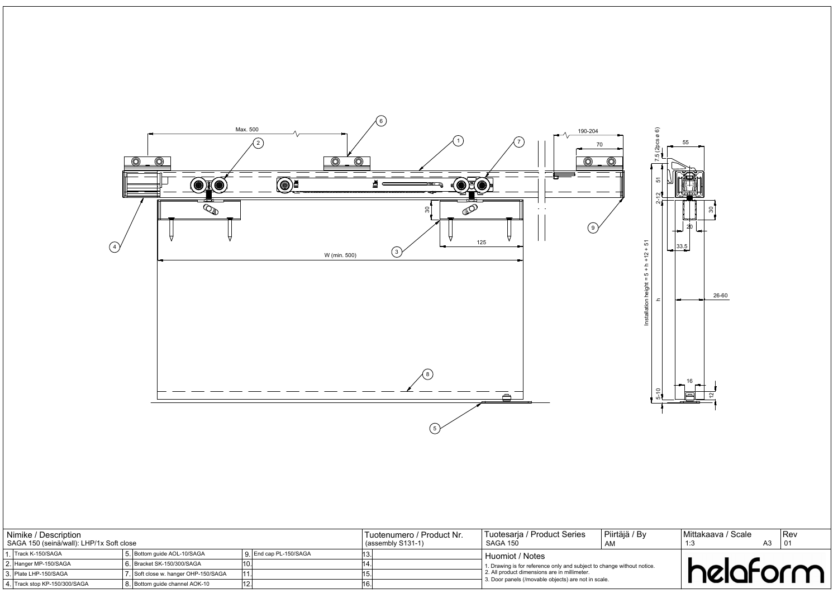



| Nimike / Description<br>SAGA 150 (seinä/wall): LHP/1x Soft close |                               |  |                                      |  |                        | Tuotenumero / Product Nr.<br>$(assembly S131-1)$ | Tuotesaria / Product Series<br>Piirtäjä / By<br><b>SAGA 150</b><br>AM                                                               |  |  | Mittakaava / Scale<br>A3 |  |  | IRev |
|------------------------------------------------------------------|-------------------------------|--|--------------------------------------|--|------------------------|--------------------------------------------------|-------------------------------------------------------------------------------------------------------------------------------------|--|--|--------------------------|--|--|------|
|                                                                  | I . ∏rack K-150/SAGA          |  | 5. Bottom quide AOL-10/SAGA          |  | ). End cap PL-150/SAGA |                                                  | Huomiot / Notes                                                                                                                     |  |  |                          |  |  |      |
|                                                                  | 2. Hanger MP-150/SAGA         |  | 6. Bracket SK-150/300/SAGA           |  |                        |                                                  | <sup>1</sup> 1. Drawing is for reference only and subject to change without notice.<br>2. All product dimensions are in millimeter. |  |  |                          |  |  |      |
|                                                                  | 3. Plate LHP-150/SAGA         |  | 7. Soft close w. hanger OHP-150/SAGA |  |                        |                                                  |                                                                                                                                     |  |  | helaform                 |  |  |      |
|                                                                  | 4. Track stop KP-150/300/SAGA |  | 8. Bottom guide channel AOK-10       |  |                        |                                                  | 3. Door panels (/movable objects) are not in scale.                                                                                 |  |  |                          |  |  |      |